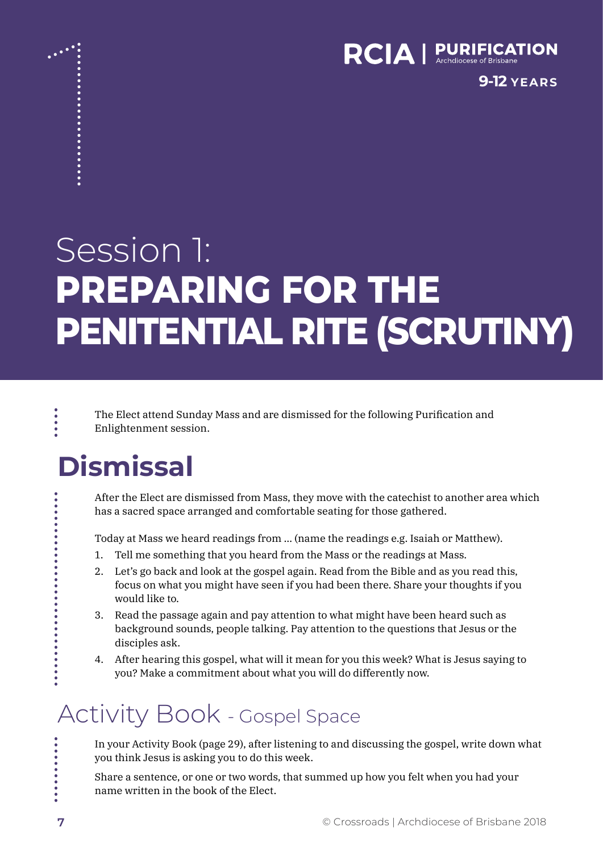

**9-12 YEARS**

# Session 1: **PREPARING FOR THE PENITENTIAL RITE (SCRUTINY)**

The Elect attend Sunday Mass and are dismissed for the following Purification and Enlightenment session.

# **Dismissal**

 $\ddot{\bullet}$ 

..........

After the Elect are dismissed from Mass, they move with the catechist to another area which has a sacred space arranged and comfortable seating for those gathered.

Today at Mass we heard readings from … (name the readings e.g. Isaiah or Matthew).

- 1. Tell me something that you heard from the Mass or the readings at Mass.
- 2. Let's go back and look at the gospel again. Read from the Bible and as you read this, focus on what you might have seen if you had been there. Share your thoughts if you would like to.
- 3. Read the passage again and pay attention to what might have been heard such as background sounds, people talking. Pay attention to the questions that Jesus or the disciples ask.
- 4. After hearing this gospel, what will it mean for you this week? What is Jesus saying to you? Make a commitment about what you will do differently now.

### Activity Book - Gospel Space

In your Activity Book (page 29), after listening to and discussing the gospel, write down what you think Jesus is asking you to do this week.

Share a sentence, or one or two words, that summed up how you felt when you had your name written in the book of the Elect.